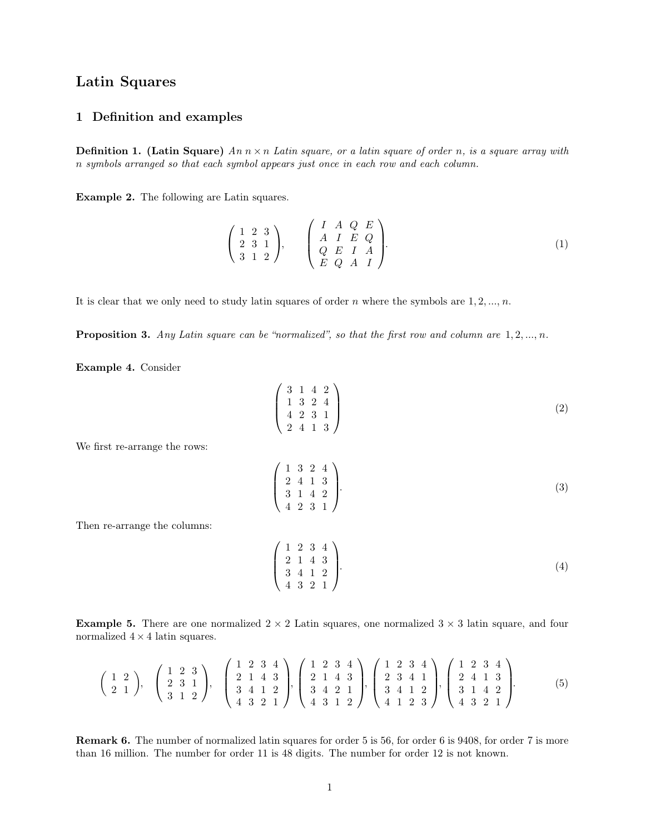## **Latin Squares**

## Latin Squares<br>1 Definition and examples

**1 Definition and examples**<br>**Definition 1.** (Latin Square)  $An\ n \times n$  Latin square, or a latin square of order *n*, is a square array with *n* symbols arranged so that each symbol appears just once in each row and each col **1 Definition and examples**<br>**Definition 1. (Latin Square)**  $An\ n \times n$  Latin square, or a latin square of order n, is a square n symbols arranged so that each symbol appears just once in each row and each column. **Definition 1. (Latin Square)**  $An\ n \times n$  Latin sqn symbols arranged so that each symbol appears just<br>**Example 2.** The following are Latin squares.

11 symbols arranged so that each symbol appears just once in each row and each column.

\n**Example 2.** The following are Latin squares.

\n
$$
\begin{pmatrix}\n1 & 2 & 3 \\
2 & 3 & 1 \\
3 & 1 & 2\n\end{pmatrix},\n\begin{pmatrix}\nI & A & Q & E \\
A & I & E & Q \\
Q & E & I & A \\
E & Q & A & I\n\end{pmatrix}.
$$
\n(1)

\nIt is clear that we only need to study latin squares of order *n* where the symbols are 1, 2, ..., *n*.

It is clear that we only need to study latin squares of order *n* where the symbols are  $1, 2, ..., n$ .<br>**Proposition 3.** *Any Latin square can be "normalized", so that the first row and column are*  $1, 2, ..., n$ .

**Example 4.** Consider

"normalized", so that the first row and column are 
$$
1, 2, ..., n
$$
.

\n
$$
\begin{pmatrix}\n3 & 1 & 4 & 2 \\
1 & 3 & 2 & 4 \\
4 & 2 & 3 & 1 \\
2 & 4 & 1 & 3\n\end{pmatrix}
$$
\n(2)

We first re-arrange the rows:

$$
\begin{pmatrix} 4 & 2 & 3 & 1 \\ 2 & 4 & 1 & 3 \end{pmatrix}
$$
\n
$$
\begin{pmatrix} 1 & 3 & 2 & 4 \\ 2 & 4 & 1 & 3 \\ 3 & 1 & 4 & 2 \\ 4 & 2 & 3 & 1 \end{pmatrix}
$$
\n(3)

Then re-arrange the columns:

$$
\begin{pmatrix} 3 & 1 & 4 & 2 \\ 4 & 2 & 3 & 1 \end{pmatrix}
$$
\n
$$
\begin{pmatrix} 1 & 2 & 3 & 4 \\ 2 & 1 & 4 & 3 \\ 3 & 4 & 1 & 2 \\ 4 & 3 & 2 & 1 \end{pmatrix}
$$
\n(4)

**Example 5.** There are one normalized  $2 \times 2$  Latin squares, one normalized  $3 \times 3$  latin square, and four normalized  $4 \times 4$  latin squares. There are one norms.<br>4 latin squares.

**Example 5.** There are one normalized 
$$
2 \times 2
$$
 Latin squares, one normalized  $3 \times 3$  latin square, and four normalized  $4 \times 4$  latin squares.  
\n
$$
\begin{pmatrix} 1 & 2 \\ 2 & 1 \end{pmatrix}, \quad \begin{pmatrix} 1 & 2 & 3 \\ 2 & 3 & 1 \\ 3 & 1 & 2 \end{pmatrix}, \quad \begin{pmatrix} 1 & 2 & 3 & 4 \\ 2 & 1 & 4 & 3 \\ 4 & 3 & 2 & 1 \end{pmatrix}, \quad \begin{pmatrix} 1 & 2 & 3 & 4 \\ 2 & 1 & 4 & 3 \\ 3 & 4 & 1 & 2 \\ 4 & 3 & 1 & 2 \end{pmatrix}, \quad \begin{pmatrix} 1 & 2 & 3 & 4 \\ 2 & 1 & 4 & 3 \\ 3 & 4 & 2 & 1 \\ 4 & 3 & 1 & 2 \end{pmatrix}, \quad \begin{pmatrix} 1 & 2 & 3 & 4 \\ 2 & 3 & 4 & 1 \\ 3 & 4 & 1 & 2 \\ 4 & 1 & 2 & 3 \end{pmatrix}, \quad \begin{pmatrix} 1 & 2 & 3 & 4 \\ 2 & 3 & 4 & 1 \\ 3 & 4 & 1 & 2 \\ 4 & 1 & 2 & 3 \end{pmatrix}, \quad \begin{pmatrix} 1 & 2 & 3 & 4 \\ 2 & 4 & 1 & 3 \\ 3 & 4 & 1 & 2 \\ 4 & 3 & 2 & 1 \end{pmatrix}.
$$
\nRemark 6. The number of normalized latin squares for order 5 is 56, for order 6 is 9408, for order 7 is more than 16 million. The number for order 11 is 48 digits. The number for order 12 is not known.

**than 16 million.** The number for order 11 is 48 digits. The number for order 12 is not known.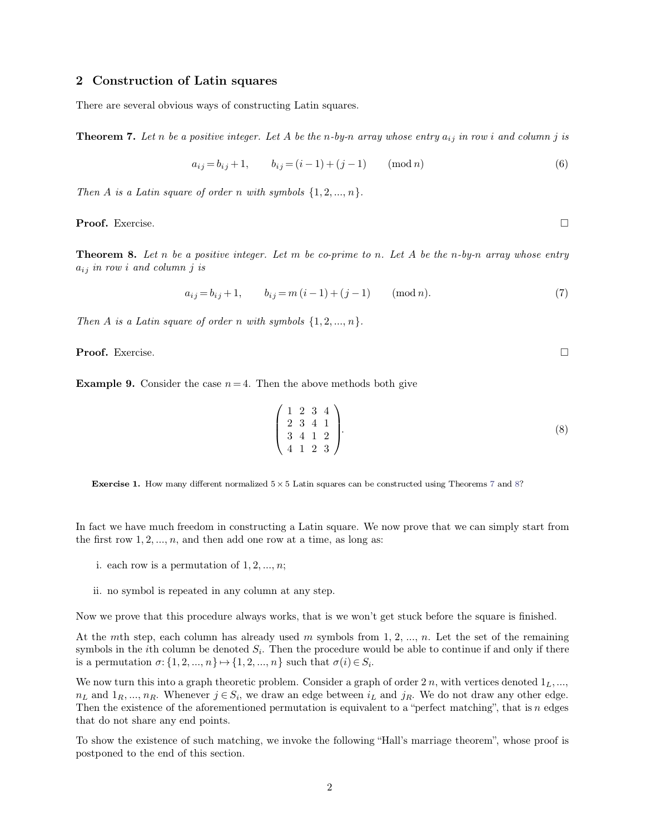**<sup>2</sup> Construction of Latin squares** 2 Construction of Latin squares<br>There are several obvious ways of constructing Latin squares.

**2 Construction of Latin squares**<br>There are several obvious ways of constructing Latin squares.<br>**Theorem 7.** Let n be a positive integer. Let A be the n-by-n array whose entry  $a_{ij}$  in row i and column j is **Theorem 7.** Let *n* be a positive integer. Let *A* be the *n*-by-*n* array who<br>  $a_{ij} = b_{ij} + 1,$   $b_{ij} = (i - 1) + (j - 1)$  (m<br> *Then A is a Latin square of order <i>n* with symbols  $\{1, 2, ..., n\}$ .

<span id="page-1-0"></span>s ways of constructing Latin squares.  
\npositive integer. Let A be the n-by-n array whose entry 
$$
a_{ij}
$$
 in row i and column j is  
\n
$$
a_{ij} = b_{ij} + 1, \t b_{ij} = (i - 1) + (j - 1) \t (mod n)
$$
\n(6)

**Proof.** Exercise. □

**Then A** is a Latin square of order *n* with symbols  $\{1, 2, ..., n\}$ .<br> **Proof.** Exercise.<br> **Theorem 8.** Let *n* be a positive integer. Let *m* be co-prime to *n*. Let *A* be the *n*-by-*n* array whose entry  $a_{ij}$  in row i **Proof.** Exercise.<br>**Theorem 8.** Let *n* be a positive *i*  $a_{ij}$  *in row i* and column *j* is *a* positive integer. Let *m* be co-prime to *n*. Let *A* be the *n*-by-*n* array whose entry  $a_{ij} = b_{ij} + 1$ ,  $b_{ij} = m(i-1) + (j-1)$  (mod *n*). (7) *Theorem 6: Let n be a positive integer.* Let *m be co prime to n: Le*  $a_{ij}$  *in row i and column j is*<br> $a_{ij} = b_{ij} + 1$ ,  $b_{ij} = m(i-1) + (j-1)$  (n<br>*Then A is a Latin square of order n with symbols*  $\{1, 2, ..., n\}$ .

<span id="page-1-1"></span>
$$
a_{ij} = b_{ij} + 1, \t b_{ij} = m(i-1) + (j-1) \t (mod n). \t (7)
$$

**Proof.** Exercise. □

Then A is a Latin square of order *n* with symbols  $\{1, 2, ..., n\}$ .<br> **Proof.** Exercise.<br> **Example 9.** Consider the case  $n = 4$ . Then the above methods both give

Dof. Exercise.

\nExample 9. Consider the case 
$$
n = 4
$$
. Then the above methods both give

\n
$$
\begin{pmatrix}\n1 & 2 & 3 & 4 \\
2 & 3 & 4 & 1 \\
3 & 4 & 1 & 2\n\end{pmatrix}
$$
\nExercise 1. How many different normalized  $5 \times 5$  Latin squares can be constructed using Theorems 7 and 8?

**Exercise1.** How many different normalized  $5 \times 5$  Latin squares can be constructed using Theorems 7 and 8?<br>In fact we have much freedom in constructing a Latin square. We now prove that we can simply start from the firs **Exercise 1.** How many different normalized  $5 \times 5$  Latin squares can be constructed.<br>In fact we have much freedom in constructing a Latin square. We now prefile first row  $1, 2, ..., n$ , and then add one row at a time, as lon i. each row is a permutation of  $1, 2, ..., n$ , and then add one row at a time<br>i. each row is a permutation of  $1, 2, ..., n$ ;<br>i. no sumbel is reported in any selumn at any star act we have much freedom in constructing a Latin square<br>first row 1, 2, ..., *n*, and then add one row at a time, as lo<br>i. each row is a permutation of 1, 2, ..., *n*;<br>ii. no symbol is repeated in any column at any step.

- 
- 

i. each row is a permutation of  $1, 2, ..., n$ ;<br>ii. no symbol is repeated in any column at any step.<br>Now we prove that this procedure always works, that is we won't get stuck before the square is finished.

ii. no symbol is repeated in any column at any step.<br>Now we prove that this procedure always works, that is we won't get stuck before the square is finished.<br>At the *m*th step, each column has already used *m* symbols fro ii. no symbol is repeated in any column at any step.<br>Now we prove that this procedure always works, that is we won't get stuck before the square is finished.<br>At the *m*th step, each column has already used *m* symbols fro Now we prove that this procedure always works, that is we won't get stu<br>At the *m*th step, each column has already used *m* symbols from 1, 2, ..<br>symbols in the *i*th column be denoted  $S_i$ . Then the procedure would be *a* 

Now we prove that this procedure always works, that is we won't get stuck before the square is imished.<br>At the *m*th step, each column has already used *m* symbols from 1, 2, ..., *n*. Let the set of the remaining<br>symbols symbols in the *i*th column be denoted  $S_i$ . Then the procedure would be able to continue if and only if there<br>is a permutation  $\sigma: \{1, 2, ..., n\} \mapsto \{1, 2, ..., n\}$  such that  $\sigma(i) \in S_i$ .<br>We now turn this into a graph theoretic is a permutation  $\sigma: \{1, 2, ..., n\} \mapsto \{1, 2\}$ <br>We now turn this into a graph theoreti<br> $n_L$  and  $1_R, ..., n_R$ . Whenever  $j \in S_i$ , whenever  $j \in S_i$ , Then the existence of the aforemention<br>that do not share any end points.<br>To show t We now turn this into a graph theoretic problem. Consider a graph of order 2 n, with vertices denoted  $1_L, ..., n_L$  and  $1_R, ..., n_R$ . Whenever  $j \in S_i$ , we draw an edge between  $i_L$  and  $j_R$ . We do not draw any other edge.<br>Then the  $n_L$  and  $1_R, ..., n_R$ . Whenever  $j \in S_i$ , we draw an edge between  $i_L$  and  $j_R$ . We do not draw any other edge.<br>Then the existence of the aforementioned permutation is equivalent to a "perfect matching", that is *n* edges that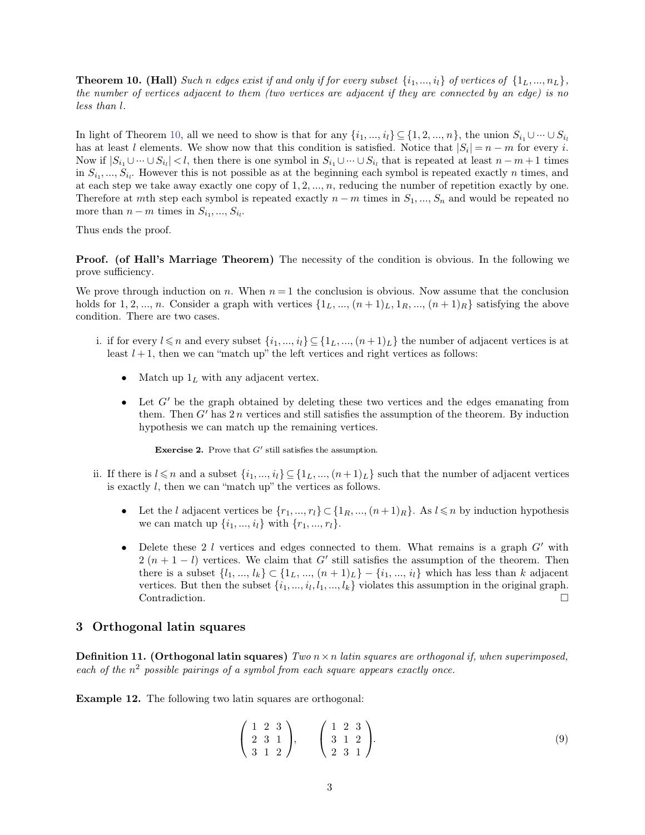**Theorem 10. (Hall)** Such n edges exist if and only if for every subset  $\{i_1, ..., i_l\}$  of vertices of  $\{1_L, ..., n_L\}$ , the number of vertices adjacent to them (two vertices are adjacent if they are connected by an edge) is no **Theorem 10. (H**<br>*the number of ver*<br>*less than l*.

<span id="page-2-0"></span>**Theorem 10. (Hall)** Such n edges exist if and only if for every subset  $\{i_1, ..., i_l\}$  of vertices of  $\{1_L, ..., n_L\}$ ,<br>the number of vertices adjacent to them (two vertices are adjacent if they are connected by an edge) is no the number of vertices adjacent to them (two vertices are adjacent if they are connected by an edge) is no<br>less than l.<br>In light of Theorem 10, all we need to show is that for any  $\{i_1, ..., i_l\} \subseteq \{1, 2, ..., n\}$ , the union  $S_{$ in  $S_{i_1}, ..., S_{i_l}$ . However this is not possible as at the beginning each symbol is repeated exactly *n* times, and at each step we take away exactly one copy of 1, 2, ..., *n*, reducing the number of repetition exactly by *i* if  $|S_{i_1} \cup \cdots \cup S_{i_l}|$  and  $S_{i_1} \cup \cdots \cup S_{i_l}$  and  $S_{i_1} \cup \cdots \cup S_{i_l}$  are possible as at this condition is satisfied. Notice that  $|S_i| = n - m$  for every *i*.<br> *if*  $|S_{i_1} \cup \cdots \cup S_{i_l}| < l$ , then there is one symbol In light of Theorem 10, all we need to show is that for any  $\{i_1, ..., i_l\} \subseteq \{1, 2, ..., n\}$ , the union  $S_{i_1} \cup \cdots \cup S_{i_l}$  has at least  $l$  elements. We show now that this condition is satisfied. Notice that  $|S_i| = n - m$  for ev has at least *l* elements. We show now that this condition is satisfied. Notice that  $|S_i| = n - m$  for every *i*.<br>Now if  $|S_{i_1} \cup \cdots \cup S_{i_l}| < l$ , then there is one symbol in  $S_{i_1} \cup \cdots \cup S_{i_l}$  that is repeated at least  $n$ has at least  $l$  elements. We show now that the Now if  $|S_{i_1} \cup \cdots \cup S_{i_l}| < l$ , then there is one sy in  $S_{i_1},..., S_{i_l}$ . However this is not possible as at each step we take away exactly one copy of Therefore at *m*th step

Therefore at mth step each symbol is repeated exactly  $n - m$  times in  $S_1, ..., S_n$  and would be repeated no<br>more than  $n - m$  times in  $S_{i_1}, ..., S_{i_l}$ .<br>Thus ends the proof.<br>**Proof.** (of Hall's Marriage Theorem) The necessity of more than  $n-m$  time<br>Thus ends the proof.<br>**Proof.** (of Hall's N<br>prove sufficiency.<br>We prove through ind

**Proof. (of Hall's Marriage Theorem)** The necessity of the condition is obvious. In the following we<br>prove sufficiency.<br>We prove through induction on *n*. When  $n = 1$  the conclusion is obvious. Now assume that the conclus **Proof. (of Hall's Marriage Theorem)** The necessity of the condition is obvious. In the following we prove sufficiency.<br>We prove through induction on *n*. When  $n = 1$  the conclusion is obvious. Now assume that the conclus **Proof.** (of Hall's Marriage The<br>prove sufficiency.<br>We prove through induction on *n*. I<br>holds for 1, 2, ..., *n*. Consider a grap<br>condition. There are two cases. prove sufficiency.<br>We prove through induction on *n*. When  $n = 1$  the conclusion is obvious. Now assume that the conclusion<br>holds for 1, 2, ..., *n*. Consider a graph with vertices  $\{1_L, ..., (n + 1)_L, 1_R, ..., (n + 1)_R\}$  satisfyin least *l* + 1, then we can match up the left vertices  $\{1_L, ..., (n+1)_L, 1_R, ..., (n+1)_R\}$  satisfies on. There are two cases.<br>
if for every  $l \leq n$  and every subset  $\{i_1, ..., i_l\} \subseteq \{1_L, ..., (n+1)_L\}$  the number of adjacent least  $l + 1$ 

- -
	- Let  $l \leq n$  and every subset  $\{i_1, ..., i_l\} \subseteq \{1_L, ..., (n+1)_L\}$  the number of adjacent vertices is at st  $l+1$ , then we can "match up" the left vertices and right vertices as follows:<br>
	 Match up  $1_L$  with any adjacent vertex. them. Then we can "match up" the left vertices and right vertices as follows:<br>Match up  $1_L$  with any adjacent vertex.<br>Let  $G'$  be the graph obtained by deleting these two vertices and the edges emanating from<br>them. Then Match up  $1_L$  with any adjacent vertex.<br>Let  $G'$  be the graph obtained by deleting these two verthem. Then  $G'$  has  $2n$  vertices and still satisfies the assumptions by the remaining vertices. them. Then  $G'$  has  $2n$  vertices and still satisfies the assumption of the theorem. By induction hypothesis we can match up the remaining vertices.<br>**Exercise 2.** Prove that  $G'$  still satisfies the assumption.

- them. Then  $G'$  has 2 *n* vertices and still satisfies the assumption of the theorem. By induction<br>hypothesis we can match up the remaining vertices.<br>**Exercise 2.** Prove that  $G'$  still satisfies the assumption.<br>ii. If th hypothesis we can match up the remaining vertices.<br> **Exercise 2.** Prove that  $G'$  still satisfies the assumption.<br>
If there is  $l \le n$  and a subset  $\{i_1, ..., i_l\} \subseteq \{1_L, ..., (n+1)_L\}$  such<br>
is exactly  $l$ , then we can "match up"
	- **Exercise 2.** Prove that *G'* still satisfies the assumption.<br>
	here is  $l \leq n$  and a subset  $\{i_1, ..., i_l\} \subseteq \{1_L, ..., (n+1)_L\}$  such that the number of adjacent vertices<br>
	xactly *l*, then we can "match up" the vertices as follo
- here is  $l \le n$  and a subset  $\{i_1, ..., i_l\} \subseteq \{1_L, ..., (n+1)_L\}$  such that the number of adjacent vertices<br>vactly  $l$ , then we can "match up" the vertices as follows.<br>
 Let the  $l$  adjacent vertices be  $\{r_1, ..., r_l\} \subset \{1_R, ..., (n+1)_$ Let the *l* adjacent vertices be  $\{r_1, ..., r_l\} \subset \{1_R, ..., (n+1)_R\}$ . As  $l \le n$  by induction hypothesis<br>we can match up  $\{i_1, ..., i_l\}$  with  $\{r_1, ..., r_l\}$ .<br>Delete these 2 *l* vertices and edges connected to them. What remains is Let the *l* adjacent vertices be  $\{r_1, ..., r_l\} \subset \{1_R, ..., (n+1)_R\}$ . As  $l \le n$  by induction hypothesis<br>we can match up  $\{i_1, ..., i_l\}$  with  $\{r_1, ..., r_l\}$ .<br>Delete these 2 *l* vertices and edges connected to them. What remains is we can match up  $\{i_1, ..., i_l\}$  with  $\{r_1, ..., r_l\}$ .<br>
Delete these 2 l vertices and edges connected to them. What remains is a graph  $G'$  with<br>
2  $(n + 1 - l)$  vertices. We claim that  $G'$  still satisfies the assumption of the t Contradiction. □ 2  $(n + 1 - l)$  vertices. We claim<br>there is a subset  $\{l_1, ..., l_k\} \subset \{\}$ <br>vertices. But then the subset  $\{i_1\}$ <br>Contradiction.<br>**3 Orthogonal latin squares**

**21.13. Orthogonal latin squares**<br>**Definition 11. (Orthogonal latin squares)**  $Two\ n \times n$  *latin squares are orthogonal if, when superimposed,*<br>each of the  $n^2$  possible pairings of a symbol from each square appears exactly **2 Orthogonal latin squares**<br> **Definition 11. (Orthogonal latin squares)** Two  $n \times n$  latin squares are orthogonal if,<br>
each of the  $n^2$  possible pairings of a symbol from each square appears exactly once. **Definition 11. (Orthogonal latin squares)** Two  $n \times n$  latin square ach of the  $n^2$  possible pairings of a symbol from each square appearing Example 12. The following two latin squares are orthogonal:

a symbol from each square appears exactly once.  
latin squares are orthogonal:  

$$
\begin{pmatrix} 1 & 2 & 3 \\ 2 & 3 & 1 \\ 3 & 1 & 2 \end{pmatrix}, \qquad \begin{pmatrix} 1 & 2 & 3 \\ 3 & 1 & 2 \\ 2 & 3 & 1 \end{pmatrix}.
$$
 (9)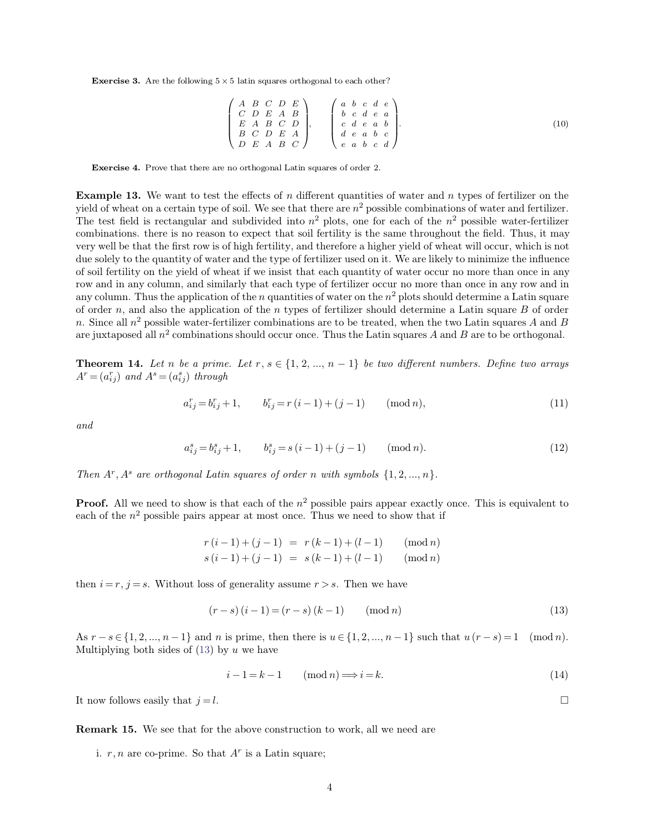**Exercise 3.** Are the following  $5 \times 5$  latin squares orthogonal to each other?

(5) latin squares orthogonal to each other?  
\n
$$
\begin{pmatrix}\nA & B & C & D & E \\
C & D & E & A & B \\
E & A & B & C & D \\
B & C & D & E & A \\
D & E & A & B & C\n\end{pmatrix},\n\begin{pmatrix}\na & b & c & d & e \\
b & c & d & e & a \\
c & d & e & a & b \\
d & e & a & b & c \\
e & a & b & c & d\n\end{pmatrix}.
$$
\n(10)

**Exercise 4.** Prove that there are no orthogonal Latin squares of order <sup>2</sup>.

**Example 13.** We want to test the effects of *n* different quantities of water and *n* types of fertilizer on the yield of wheat on a certain type of soil. We see that there are  $n^2$  possible combinations of water and fe Exercise 4. Prove that there are no orthogonal Latin squares of order 2.<br> **Example 13.** We want to test the effects of *n* different quantities of w yield of wheat on a certain type of soil. We see that there are  $n^2$  po b c a  $\prime$ <br>der 2.<br>tities of water and n types of fertilizer on the<br><sup>2</sup> possible combinations of water and fertilizer.<br>me for each of the  $n^2$  possible water-fertilizer **Exercise 4.** Prove that there are no orthogonal Latin squares of order 2.<br> **Example 13.** We want to test the effects of *n* different quantities of water and *n* types of yield of wheat on a certain type of soil. We see  $\alpha$  types of fertilizer on the<br>ons of water and fertilizer.<br> $\alpha^2$  possible water-fertilizer<br>ut the field. Thus, it may **Example 13.** We want to test the effects of *n* different quantities of water and *n* types of fertilizer on the yield of wheat on a certain type of soil. We see that there are  $n^2$  possible combinations of water and fe **Example 13.** We want to test the effects of *n* different quantities of water and *n* types of fertilizer on the yield of wheat on a certain type of soil. We see that there are  $n^2$  possible combinations of water and fe **Example 13.** We want to test the effects of *n* different quantities of water and *n* types of fertilizer on the yield of wheat on a certain type of soil. We see that there are  $n^2$  possible combinations of water and fe yield of wheat on a certain type of soil. We see that there are  $n^2$  possible combinations of water and fertilizer.<br>The test field is rectangular and subdivided into  $n^2$  plots, one for each of the  $n^2$  possible water-The test held is rectangular and subdivided into  $n^2$  plots, one for each of the  $n^2$  possible water-fertilizer combinations. there is no reason to expect that soil fertility is the same throughout the field. Thus, it m combinations. there is no reason to expect that soil fertility is the same throughout the held. Thus, it may<br>very well be that the first row is of high fertility, and therefore a higher yield of wheat will occur, which is very well be that the first row is of high fertility, and therefore a higher yield of wheat will occur, which is not<br>due solely to the quantity of water and the type of fertilizer used on it. We are likely to minimize the due solely to the quantity of water and the type of fertilizer used on it. We are likely to minimize the influence<br>of soil fertility on the yield of wheat if we insist that each quantity of water occur no more than once i of soil fertility on the yield of wheat if we insist that each quantity of water occur no more than once in any<br>row and in any column, and similarly that each type of fertilizer occur no more than once in any row and in<br>a of order *n*, and also the application of the *n* types of fertilizer should determine a Latin square *B* of order *n*. Since all  $n^2$  possible water-fertilizer combinations are to be treated, when the two Latin squares

 $A^r = (a_{ij}^r)$  *and*  $A^s = (a_{ij}^s)$  *through* **Theorem 14.** Let n be a prime. Let  $r, s \in \{1, 2, ..., n-1\}$  be two different numbers. Define two arrays

<span id="page-3-1"></span>
$$
a_{ij}^r = b_{ij}^r + 1, \t b_{ij}^r = r(i-1) + (j-1) \t (mod n),
$$
\n
$$
a_{ij}^s = b_{ij}^s + 1, \t b_{ij}^s = s(i-1) + (j-1) \t (mod n).
$$
\n(12)

*and*

$$
a_{ij}^s = b_{ij}^s + 1, \qquad b_{ij}^s = s(i-1) + (j-1) \qquad (mod n). \tag{12}
$$

*Then*  $A^r$ ,  $A^s$  are orthogonal Latin squares of order n with symbols  $\{1, 2, ..., n\}$ .

*i a*<sup>*s*</sup><sub>*i*</sub> *= b*<sup>*s*</sup><sub>*i*</sub> *j* + 1, *b*<sup>*s*</sup><sub>*i*</sub> *= s* (*i* - 1) + (*j* - 1) (mod *n*).<br> *Then A<sup>r</sup>*, *A<sup>s</sup>* are orthogonal Latin squares of order *n* with symbols {1, 2, ..., *n*}.<br> **Proof.** All we need to show  $(-1) + (j - 1)$  (mod *n*). (12)<br>  $r n \text{ with symbols } \{1, 2, ..., n\}.$ <br>
<sup>2</sup> possible pairs appear exactly once. This is equivalent to<br>  $\therefore$  Thus we need to show that if Then  $A^r$ ,  $A^s$  are orthogonal Latin squares of order n with symbols  $\{1, 2, ..., n\}$ .<br>**Proof.** All we need to show is that each of the  $n^2$  possible pairs appear exactly once. T each of the  $n^2$  possible pairs appear at

each of the 
$$
n^2
$$
 possible pairs appear at most once. Thus we need to show that if  
\n
$$
r(i-1) + (j-1) = r(k-1) + (l-1) \pmod{n}
$$
\n
$$
s(i-1) + (j-1) = s(k-1) + (l-1) \pmod{n}
$$
\nthen  $i = r, j = s$ . Without loss of generality assume  $r > s$ . Then we have

$$
(r - s) (i - 1) = (r - s) (k - 1) \quad (\text{mod } n)
$$
\n(13)

then $i = r, j = s$ . Without loss of generality assume  $r > s$ . Then we have<br>  $(r - s) (i - 1) = (r - s) (k - 1)$  (mod *n*) (13)<br>
As  $r - s \in \{1, 2, ..., n - 1\}$  and *n* is prime, then there is  $u \in \{1, 2, ..., n - 1\}$  such that  $u (r - s) = 1$  (mod *n*). *i*  $i = \{1, 2, ..., n-1\}$  such that  $u(r - s) = 1 \pmod{n}$ .<br> *i u* we have<br> *i*  $-1 = k - 1 \pmod{n} \implies i = k.$  (14) As  $r - s \in \{1, 2, ..., n-1\}$  and *n* is prime, then there is  $u \in \{1, 2, ..., n-1\}$  such that  $u(r - s) = 1 \pmod{n}$ .<br>
Multiplying both sides of (13) by *u* we have<br>  $i - 1 = k - 1 \pmod{n} \implies i = k.$  (14)<br>
It now follows easily that  $j = l.$ 

$$
i - 1 = k - 1 \qquad (\text{mod } n) \Longrightarrow i = k. \tag{14}
$$

**Remark 15.** We see that for the above construction to work, all we need are It now follows easily that  $j = l$ .<br>**Remark 15.** We see that for the above construction to i. *r*, *n* are co-prime. So that  $A<sup>r</sup>$  is a Latin square; **Remark 15.** We see that for the above construction to work, all we need are

<span id="page-3-0"></span>